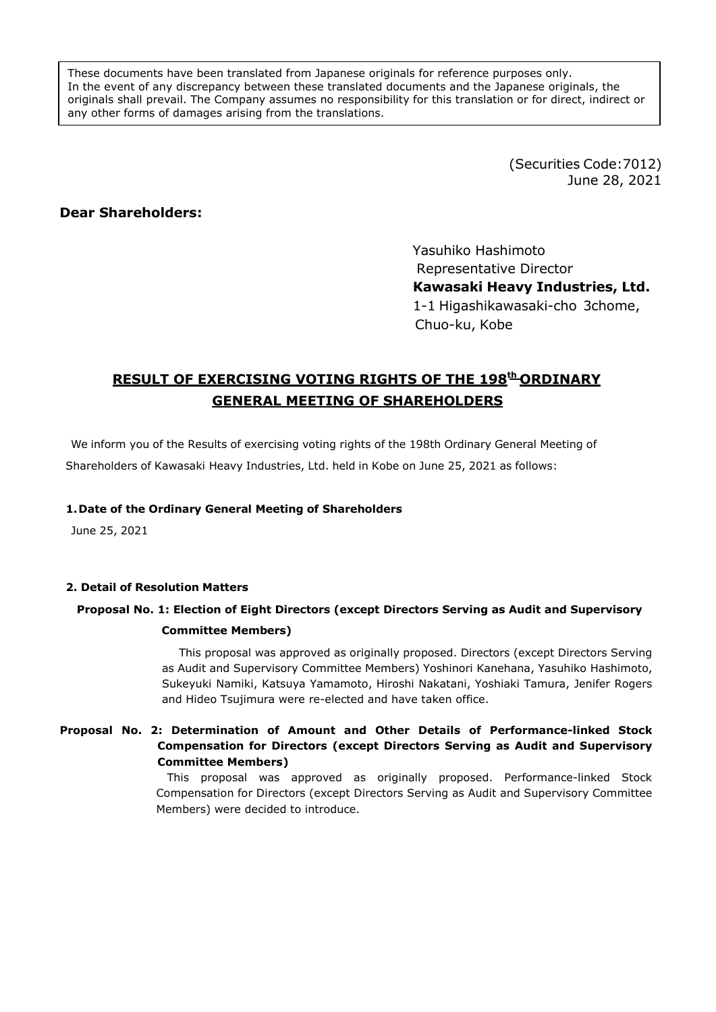These documents have been translated from Japanese originals for reference purposes only. In the event of any discrepancy between these translated documents and the Japanese originals, the originals shall prevail. The Company assumes no responsibility for this translation or for direct, indirect or any other forms of damages arising from the translations.

> (Securities Code:7012) June 28, 2021

### **Dear Shareholders:**

Yasuhiko Hashimoto Representative Director **Kawasaki Heavy Industries, Ltd.** 1-1 Higashikawasaki-cho 3chome, Chuo-ku, Kobe

# **RESULT OF EXERCISING VOTING RIGHTS OF THE 198th ORDINARY GENERAL MEETING OF SHAREHOLDERS**

We inform you of the Results of exercising voting rights of the 198th Ordinary General Meeting of Shareholders of Kawasaki Heavy Industries, Ltd. held in Kobe on June 25, 2021 as follows:

### **1.Date of the Ordinary General Meeting of Shareholders**

June 25, 2021

#### **2. Detail of Resolution Matters**

# **Proposal No. 1: Election of Eight Directors (except Directors Serving as Audit and Supervisory Committee Members)**

This proposal was approved as originally proposed. Directors (except Directors Serving as Audit and Supervisory Committee Members) Yoshinori Kanehana, Yasuhiko Hashimoto, Sukeyuki Namiki, Katsuya Yamamoto, Hiroshi Nakatani, Yoshiaki Tamura, Jenifer Rogers and Hideo Tsujimura were re-elected and have taken office.

### **Proposal No. 2: Determination of Amount and Other Details of Performance-linked Stock Compensation for Directors (except Directors Serving as Audit and Supervisory Committee Members)**

This proposal was approved as originally proposed. Performance-linked Stock Compensation for Directors (except Directors Serving as Audit and Supervisory Committee Members) were decided to introduce.